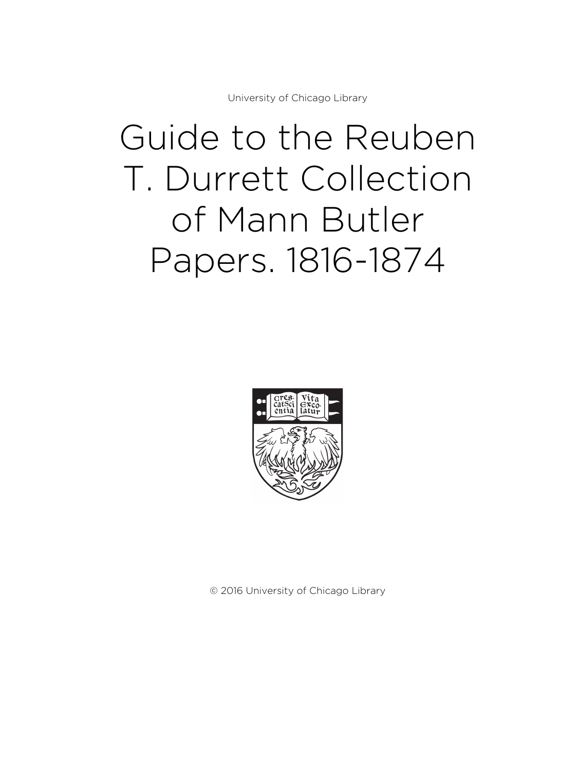University of Chicago Library

# Guide to the Reuben T. Durrett Collection of Mann Butler Papers. 1816-1874



© 2016 University of Chicago Library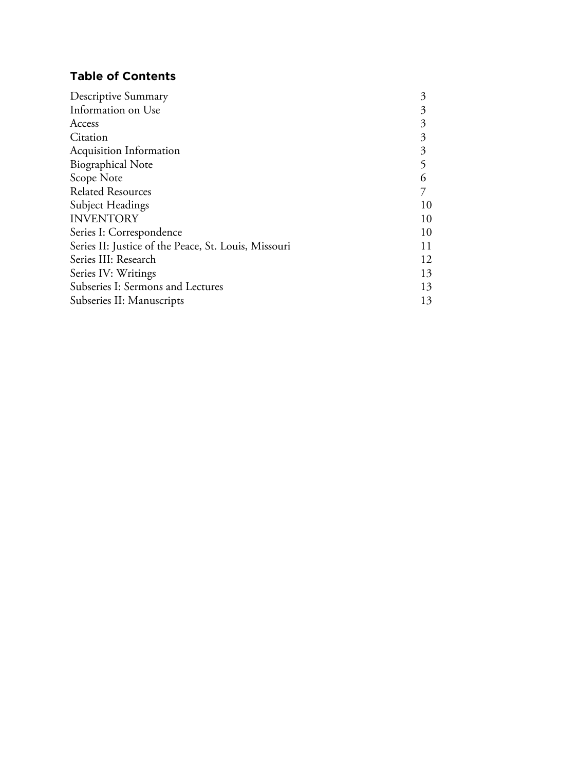# **Table of Contents**

| <b>Descriptive Summary</b>                           | 3  |
|------------------------------------------------------|----|
| Information on Use                                   | 3  |
| Access                                               | 3  |
| Citation                                             | 3  |
| <b>Acquisition Information</b>                       | 3  |
| <b>Biographical Note</b>                             | 5  |
| Scope Note                                           | 6  |
| <b>Related Resources</b>                             |    |
| Subject Headings                                     | 10 |
| <b>INVENTORY</b>                                     | 10 |
| Series I: Correspondence                             | 10 |
| Series II: Justice of the Peace, St. Louis, Missouri | 11 |
| Series III: Research                                 | 12 |
| Series IV: Writings                                  | 13 |
| Subseries I: Sermons and Lectures                    | 13 |
| Subseries II: Manuscripts                            | 13 |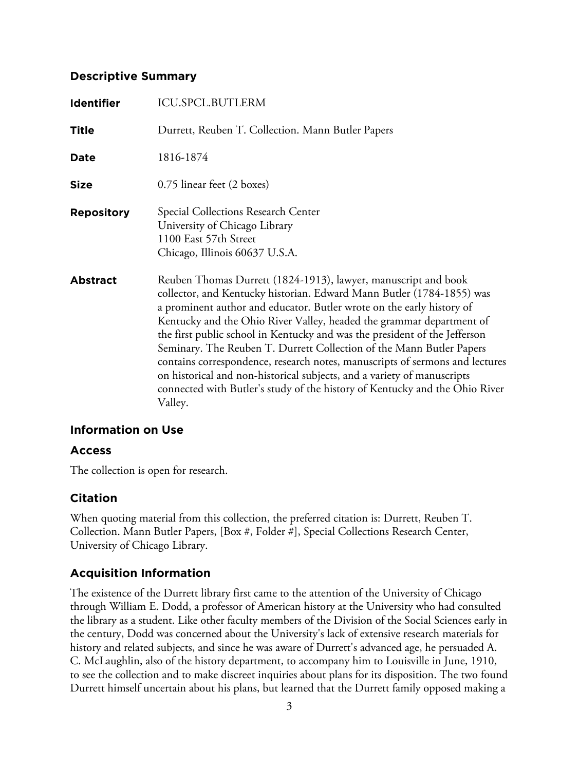# **Descriptive Summary**

| <b>Identifier</b> | <b>ICU.SPCL.BUTLERM</b>                                                                                                                                                                                                                                                                                                                                                                                                                                                                                                                                                                                                                                                                             |
|-------------------|-----------------------------------------------------------------------------------------------------------------------------------------------------------------------------------------------------------------------------------------------------------------------------------------------------------------------------------------------------------------------------------------------------------------------------------------------------------------------------------------------------------------------------------------------------------------------------------------------------------------------------------------------------------------------------------------------------|
| <b>Title</b>      | Durrett, Reuben T. Collection. Mann Butler Papers                                                                                                                                                                                                                                                                                                                                                                                                                                                                                                                                                                                                                                                   |
| Date              | 1816-1874                                                                                                                                                                                                                                                                                                                                                                                                                                                                                                                                                                                                                                                                                           |
| <b>Size</b>       | 0.75 linear feet (2 boxes)                                                                                                                                                                                                                                                                                                                                                                                                                                                                                                                                                                                                                                                                          |
| <b>Repository</b> | Special Collections Research Center<br>University of Chicago Library<br>1100 East 57th Street<br>Chicago, Illinois 60637 U.S.A.                                                                                                                                                                                                                                                                                                                                                                                                                                                                                                                                                                     |
| <b>Abstract</b>   | Reuben Thomas Durrett (1824-1913), lawyer, manuscript and book<br>collector, and Kentucky historian. Edward Mann Butler (1784-1855) was<br>a prominent author and educator. Butler wrote on the early history of<br>Kentucky and the Ohio River Valley, headed the grammar department of<br>the first public school in Kentucky and was the president of the Jefferson<br>Seminary. The Reuben T. Durrett Collection of the Mann Butler Papers<br>contains correspondence, research notes, manuscripts of sermons and lectures<br>on historical and non-historical subjects, and a variety of manuscripts<br>connected with Butler's study of the history of Kentucky and the Ohio River<br>Valley. |

# **Information on Use**

# **Access**

The collection is open for research.

# **Citation**

When quoting material from this collection, the preferred citation is: Durrett, Reuben T. Collection. Mann Butler Papers, [Box #, Folder #], Special Collections Research Center, University of Chicago Library.

# **Acquisition Information**

The existence of the Durrett library first came to the attention of the University of Chicago through William E. Dodd, a professor of American history at the University who had consulted the library as a student. Like other faculty members of the Division of the Social Sciences early in the century, Dodd was concerned about the University's lack of extensive research materials for history and related subjects, and since he was aware of Durrett's advanced age, he persuaded A. C. McLaughlin, also of the history department, to accompany him to Louisville in June, 1910, to see the collection and to make discreet inquiries about plans for its disposition. The two found Durrett himself uncertain about his plans, but learned that the Durrett family opposed making a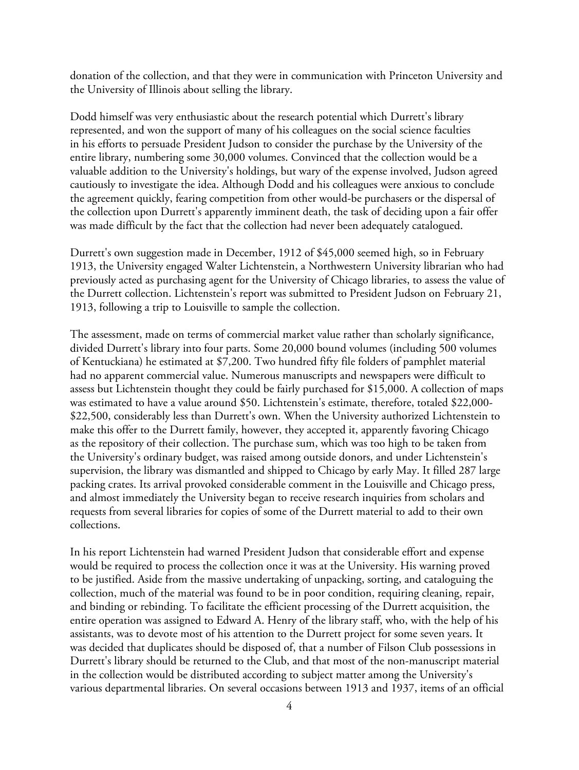donation of the collection, and that they were in communication with Princeton University and the University of Illinois about selling the library.

Dodd himself was very enthusiastic about the research potential which Durrett's library represented, and won the support of many of his colleagues on the social science faculties in his efforts to persuade President Judson to consider the purchase by the University of the entire library, numbering some 30,000 volumes. Convinced that the collection would be a valuable addition to the University's holdings, but wary of the expense involved, Judson agreed cautiously to investigate the idea. Although Dodd and his colleagues were anxious to conclude the agreement quickly, fearing competition from other would-be purchasers or the dispersal of the collection upon Durrett's apparently imminent death, the task of deciding upon a fair offer was made difficult by the fact that the collection had never been adequately catalogued.

Durrett's own suggestion made in December, 1912 of \$45,000 seemed high, so in February 1913, the University engaged Walter Lichtenstein, a Northwestern University librarian who had previously acted as purchasing agent for the University of Chicago libraries, to assess the value of the Durrett collection. Lichtenstein's report was submitted to President Judson on February 21, 1913, following a trip to Louisville to sample the collection.

The assessment, made on terms of commercial market value rather than scholarly significance, divided Durrett's library into four parts. Some 20,000 bound volumes (including 500 volumes of Kentuckiana) he estimated at \$7,200. Two hundred fifty file folders of pamphlet material had no apparent commercial value. Numerous manuscripts and newspapers were difficult to assess but Lichtenstein thought they could be fairly purchased for \$15,000. A collection of maps was estimated to have a value around \$50. Lichtenstein's estimate, therefore, totaled \$22,000- \$22,500, considerably less than Durrett's own. When the University authorized Lichtenstein to make this offer to the Durrett family, however, they accepted it, apparently favoring Chicago as the repository of their collection. The purchase sum, which was too high to be taken from the University's ordinary budget, was raised among outside donors, and under Lichtenstein's supervision, the library was dismantled and shipped to Chicago by early May. It filled 287 large packing crates. Its arrival provoked considerable comment in the Louisville and Chicago press, and almost immediately the University began to receive research inquiries from scholars and requests from several libraries for copies of some of the Durrett material to add to their own collections.

In his report Lichtenstein had warned President Judson that considerable effort and expense would be required to process the collection once it was at the University. His warning proved to be justified. Aside from the massive undertaking of unpacking, sorting, and cataloguing the collection, much of the material was found to be in poor condition, requiring cleaning, repair, and binding or rebinding. To facilitate the efficient processing of the Durrett acquisition, the entire operation was assigned to Edward A. Henry of the library staff, who, with the help of his assistants, was to devote most of his attention to the Durrett project for some seven years. It was decided that duplicates should be disposed of, that a number of Filson Club possessions in Durrett's library should be returned to the Club, and that most of the non-manuscript material in the collection would be distributed according to subject matter among the University's various departmental libraries. On several occasions between 1913 and 1937, items of an official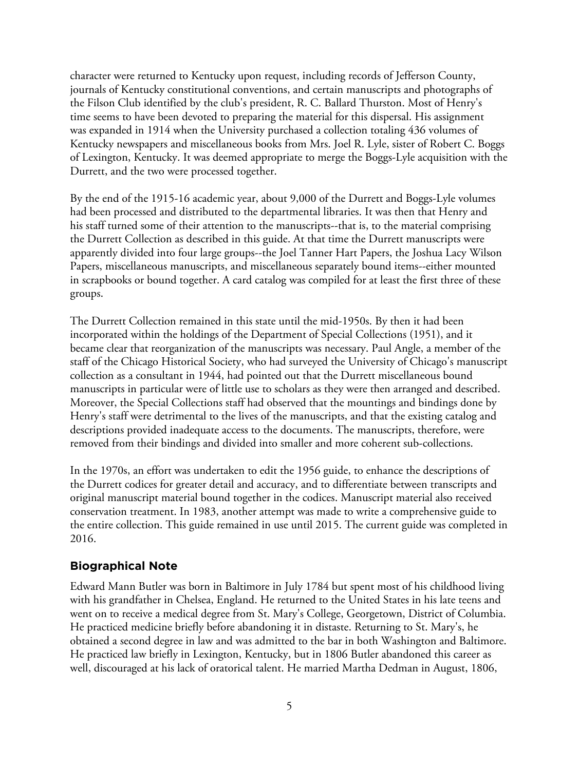character were returned to Kentucky upon request, including records of Jefferson County, journals of Kentucky constitutional conventions, and certain manuscripts and photographs of the Filson Club identified by the club's president, R. C. Ballard Thurston. Most of Henry's time seems to have been devoted to preparing the material for this dispersal. His assignment was expanded in 1914 when the University purchased a collection totaling 436 volumes of Kentucky newspapers and miscellaneous books from Mrs. Joel R. Lyle, sister of Robert C. Boggs of Lexington, Kentucky. It was deemed appropriate to merge the Boggs-Lyle acquisition with the Durrett, and the two were processed together.

By the end of the 1915-16 academic year, about 9,000 of the Durrett and Boggs-Lyle volumes had been processed and distributed to the departmental libraries. It was then that Henry and his staff turned some of their attention to the manuscripts--that is, to the material comprising the Durrett Collection as described in this guide. At that time the Durrett manuscripts were apparently divided into four large groups--the Joel Tanner Hart Papers, the Joshua Lacy Wilson Papers, miscellaneous manuscripts, and miscellaneous separately bound items--either mounted in scrapbooks or bound together. A card catalog was compiled for at least the first three of these groups.

The Durrett Collection remained in this state until the mid-1950s. By then it had been incorporated within the holdings of the Department of Special Collections (1951), and it became clear that reorganization of the manuscripts was necessary. Paul Angle, a member of the staff of the Chicago Historical Society, who had surveyed the University of Chicago's manuscript collection as a consultant in 1944, had pointed out that the Durrett miscellaneous bound manuscripts in particular were of little use to scholars as they were then arranged and described. Moreover, the Special Collections staff had observed that the mountings and bindings done by Henry's staff were detrimental to the lives of the manuscripts, and that the existing catalog and descriptions provided inadequate access to the documents. The manuscripts, therefore, were removed from their bindings and divided into smaller and more coherent sub-collections.

In the 1970s, an effort was undertaken to edit the 1956 guide, to enhance the descriptions of the Durrett codices for greater detail and accuracy, and to differentiate between transcripts and original manuscript material bound together in the codices. Manuscript material also received conservation treatment. In 1983, another attempt was made to write a comprehensive guide to the entire collection. This guide remained in use until 2015. The current guide was completed in 2016.

# **Biographical Note**

Edward Mann Butler was born in Baltimore in July 1784 but spent most of his childhood living with his grandfather in Chelsea, England. He returned to the United States in his late teens and went on to receive a medical degree from St. Mary's College, Georgetown, District of Columbia. He practiced medicine briefly before abandoning it in distaste. Returning to St. Mary's, he obtained a second degree in law and was admitted to the bar in both Washington and Baltimore. He practiced law briefly in Lexington, Kentucky, but in 1806 Butler abandoned this career as well, discouraged at his lack of oratorical talent. He married Martha Dedman in August, 1806,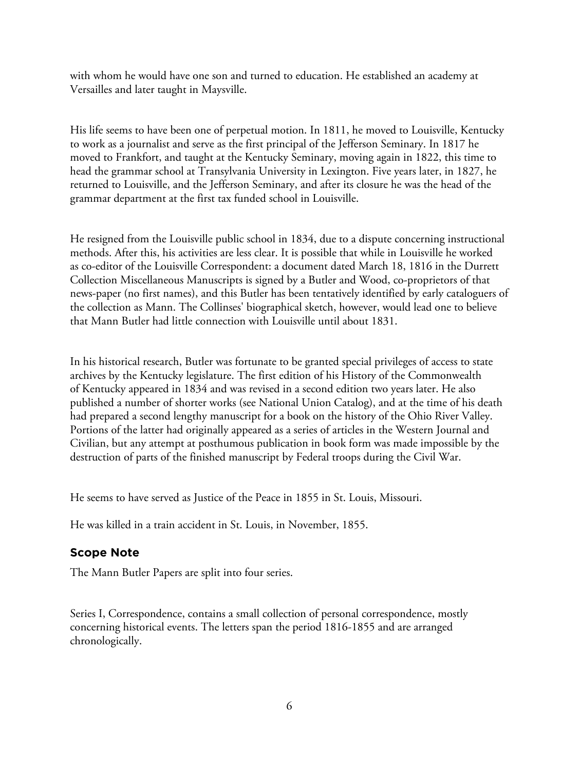with whom he would have one son and turned to education. He established an academy at Versailles and later taught in Maysville.

His life seems to have been one of perpetual motion. In 1811, he moved to Louisville, Kentucky to work as a journalist and serve as the first principal of the Jefferson Seminary. In 1817 he moved to Frankfort, and taught at the Kentucky Seminary, moving again in 1822, this time to head the grammar school at Transylvania University in Lexington. Five years later, in 1827, he returned to Louisville, and the Jefferson Seminary, and after its closure he was the head of the grammar department at the first tax funded school in Louisville.

He resigned from the Louisville public school in 1834, due to a dispute concerning instructional methods. After this, his activities are less clear. It is possible that while in Louisville he worked as co-editor of the Louisville Correspondent: a document dated March 18, 1816 in the Durrett Collection Miscellaneous Manuscripts is signed by a Butler and Wood, co-proprietors of that news-paper (no first names), and this Butler has been tentatively identified by early cataloguers of the collection as Mann. The Collinses' biographical sketch, however, would lead one to believe that Mann Butler had little connection with Louisville until about 1831.

In his historical research, Butler was fortunate to be granted special privileges of access to state archives by the Kentucky legislature. The first edition of his History of the Commonwealth of Kentucky appeared in 1834 and was revised in a second edition two years later. He also published a number of shorter works (see National Union Catalog), and at the time of his death had prepared a second lengthy manuscript for a book on the history of the Ohio River Valley. Portions of the latter had originally appeared as a series of articles in the Western Journal and Civilian, but any attempt at posthumous publication in book form was made impossible by the destruction of parts of the finished manuscript by Federal troops during the Civil War.

He seems to have served as Justice of the Peace in 1855 in St. Louis, Missouri.

He was killed in a train accident in St. Louis, in November, 1855.

# **Scope Note**

The Mann Butler Papers are split into four series.

Series I, Correspondence, contains a small collection of personal correspondence, mostly concerning historical events. The letters span the period 1816-1855 and are arranged chronologically.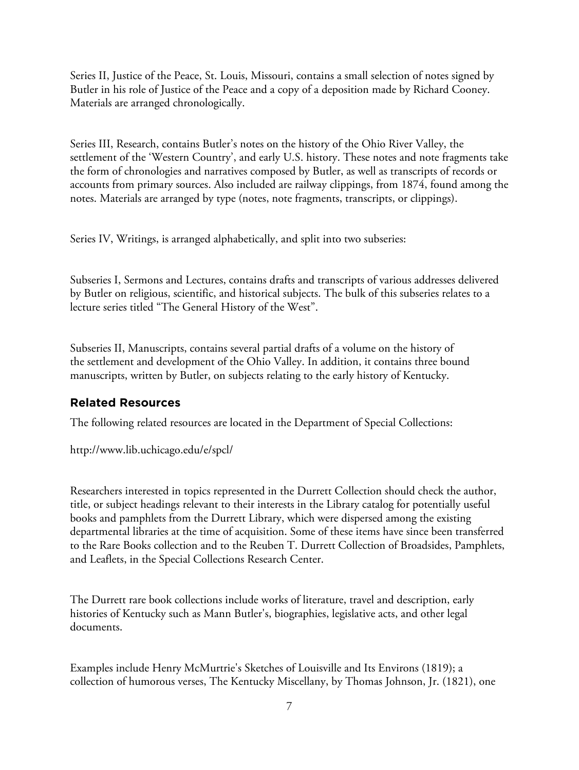Series II, Justice of the Peace, St. Louis, Missouri, contains a small selection of notes signed by Butler in his role of Justice of the Peace and a copy of a deposition made by Richard Cooney. Materials are arranged chronologically.

Series III, Research, contains Butler's notes on the history of the Ohio River Valley, the settlement of the 'Western Country', and early U.S. history. These notes and note fragments take the form of chronologies and narratives composed by Butler, as well as transcripts of records or accounts from primary sources. Also included are railway clippings, from 1874, found among the notes. Materials are arranged by type (notes, note fragments, transcripts, or clippings).

Series IV, Writings, is arranged alphabetically, and split into two subseries:

Subseries I, Sermons and Lectures, contains drafts and transcripts of various addresses delivered by Butler on religious, scientific, and historical subjects. The bulk of this subseries relates to a lecture series titled "The General History of the West".

Subseries II, Manuscripts, contains several partial drafts of a volume on the history of the settlement and development of the Ohio Valley. In addition, it contains three bound manuscripts, written by Butler, on subjects relating to the early history of Kentucky.

# **Related Resources**

The following related resources are located in the Department of Special Collections:

http://www.lib.uchicago.edu/e/spcl/

Researchers interested in topics represented in the Durrett Collection should check the author, title, or subject headings relevant to their interests in the Library catalog for potentially useful books and pamphlets from the Durrett Library, which were dispersed among the existing departmental libraries at the time of acquisition. Some of these items have since been transferred to the Rare Books collection and to the Reuben T. Durrett Collection of Broadsides, Pamphlets, and Leaflets, in the Special Collections Research Center.

The Durrett rare book collections include works of literature, travel and description, early histories of Kentucky such as Mann Butler's, biographies, legislative acts, and other legal documents.

Examples include Henry McMurtrie's Sketches of Louisville and Its Environs (1819); a collection of humorous verses, The Kentucky Miscellany, by Thomas Johnson, Jr. (1821), one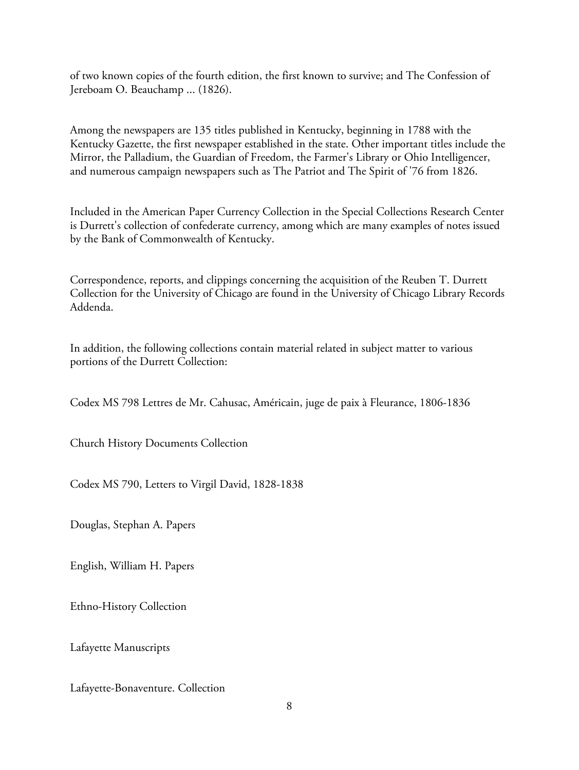of two known copies of the fourth edition, the first known to survive; and The Confession of Jereboam O. Beauchamp ... (1826).

Among the newspapers are 135 titles published in Kentucky, beginning in 1788 with the Kentucky Gazette, the first newspaper established in the state. Other important titles include the Mirror, the Palladium, the Guardian of Freedom, the Farmer's Library or Ohio Intelligencer, and numerous campaign newspapers such as The Patriot and The Spirit of '76 from 1826.

Included in the American Paper Currency Collection in the Special Collections Research Center is Durrett's collection of confederate currency, among which are many examples of notes issued by the Bank of Commonwealth of Kentucky.

Correspondence, reports, and clippings concerning the acquisition of the Reuben T. Durrett Collection for the University of Chicago are found in the University of Chicago Library Records Addenda.

In addition, the following collections contain material related in subject matter to various portions of the Durrett Collection:

Codex MS 798 Lettres de Mr. Cahusac, Américain, juge de paix à Fleurance, 1806-1836

Church History Documents Collection

Codex MS 790, Letters to Virgil David, 1828-1838

Douglas, Stephan A. Papers

English, William H. Papers

Ethno-History Collection

Lafayette Manuscripts

Lafayette-Bonaventure. Collection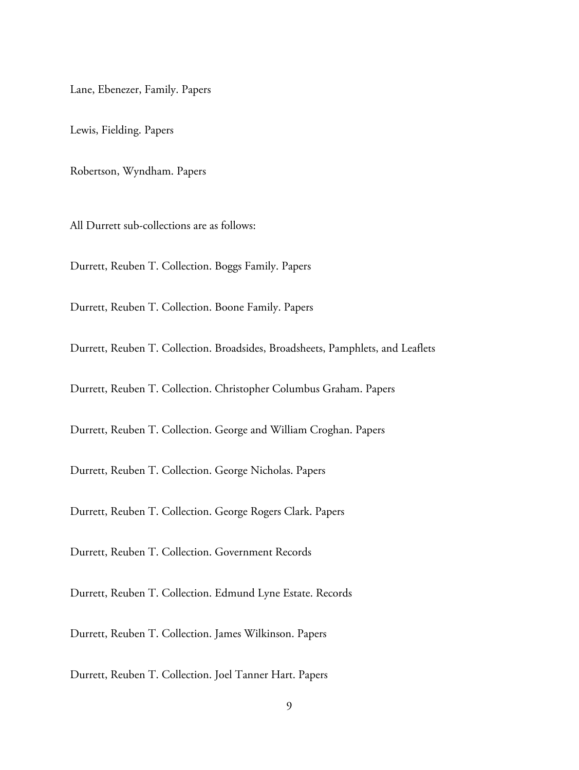Lane, Ebenezer, Family. Papers

Lewis, Fielding. Papers

Robertson, Wyndham. Papers

All Durrett sub-collections are as follows:

Durrett, Reuben T. Collection. Boggs Family. Papers

Durrett, Reuben T. Collection. Boone Family. Papers

Durrett, Reuben T. Collection. Broadsides, Broadsheets, Pamphlets, and Leaflets

Durrett, Reuben T. Collection. Christopher Columbus Graham. Papers

Durrett, Reuben T. Collection. George and William Croghan. Papers

Durrett, Reuben T. Collection. George Nicholas. Papers

Durrett, Reuben T. Collection. George Rogers Clark. Papers

Durrett, Reuben T. Collection. Government Records

Durrett, Reuben T. Collection. Edmund Lyne Estate. Records

Durrett, Reuben T. Collection. James Wilkinson. Papers

Durrett, Reuben T. Collection. Joel Tanner Hart. Papers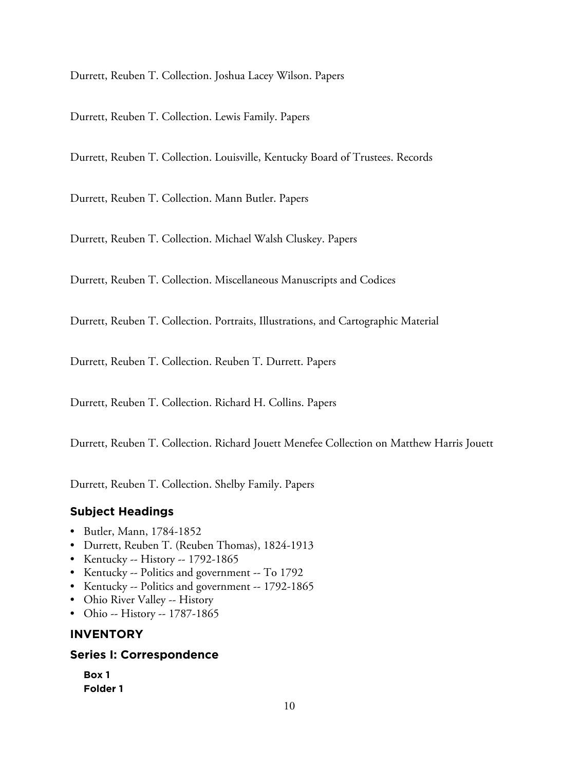Durrett, Reuben T. Collection. Joshua Lacey Wilson. Papers

Durrett, Reuben T. Collection. Lewis Family. Papers

Durrett, Reuben T. Collection. Louisville, Kentucky Board of Trustees. Records

Durrett, Reuben T. Collection. Mann Butler. Papers

Durrett, Reuben T. Collection. Michael Walsh Cluskey. Papers

Durrett, Reuben T. Collection. Miscellaneous Manuscripts and Codices

Durrett, Reuben T. Collection. Portraits, Illustrations, and Cartographic Material

Durrett, Reuben T. Collection. Reuben T. Durrett. Papers

Durrett, Reuben T. Collection. Richard H. Collins. Papers

Durrett, Reuben T. Collection. Richard Jouett Menefee Collection on Matthew Harris Jouett

Durrett, Reuben T. Collection. Shelby Family. Papers

# **Subject Headings**

- Butler, Mann, 1784-1852
- Durrett, Reuben T. (Reuben Thomas), 1824-1913
- Kentucky -- History -- 1792-1865
- Kentucky -- Politics and government -- To 1792
- Kentucky -- Politics and government -- 1792-1865
- Ohio River Valley -- History
- Ohio -- History -- 1787-1865

# **INVENTORY**

#### **Series I: Correspondence**

| Box 1           |  |
|-----------------|--|
| <b>Folder 1</b> |  |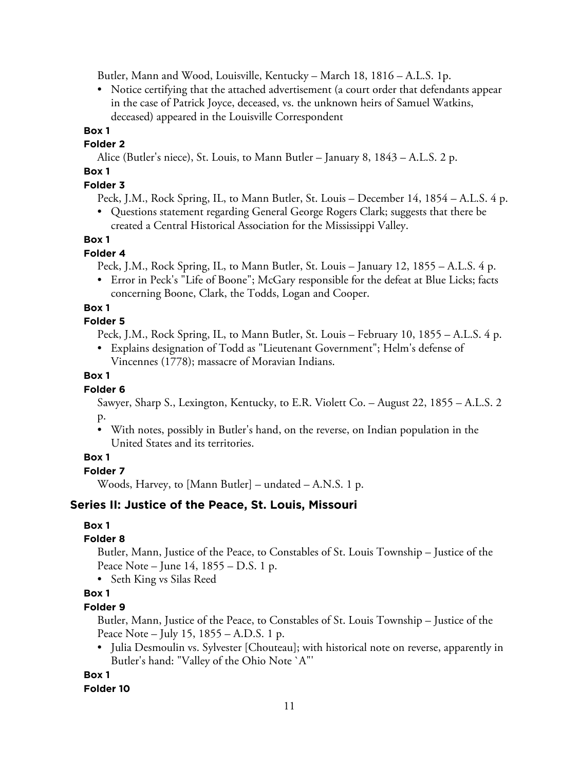Butler, Mann and Wood, Louisville, Kentucky – March 18, 1816 – A.L.S. 1p.

• Notice certifying that the attached advertisement (a court order that defendants appear in the case of Patrick Joyce, deceased, vs. the unknown heirs of Samuel Watkins, deceased) appeared in the Louisville Correspondent

# **Box 1**

**Folder 2**

Alice (Butler's niece), St. Louis, to Mann Butler – January 8, 1843 – A.L.S. 2 p.

# **Box 1**

# **Folder 3**

- Peck, J.M., Rock Spring, IL, to Mann Butler, St. Louis December 14, 1854 A.L.S. 4 p.
- Questions statement regarding General George Rogers Clark; suggests that there be created a Central Historical Association for the Mississippi Valley.

# **Box 1**

# **Folder 4**

Peck, J.M., Rock Spring, IL, to Mann Butler, St. Louis – January 12, 1855 – A.L.S. 4 p.

• Error in Peck's "Life of Boone"; McGary responsible for the defeat at Blue Licks; facts concerning Boone, Clark, the Todds, Logan and Cooper.

# **Box 1**

## **Folder 5**

Peck, J.M., Rock Spring, IL, to Mann Butler, St. Louis – February 10, 1855 – A.L.S. 4 p.

• Explains designation of Todd as "Lieutenant Government"; Helm's defense of Vincennes (1778); massacre of Moravian Indians.

## **Box 1**

# **Folder 6**

Sawyer, Sharp S., Lexington, Kentucky, to E.R. Violett Co. – August 22, 1855 – A.L.S. 2 p.

• With notes, possibly in Butler's hand, on the reverse, on Indian population in the United States and its territories.

# **Box 1**

# **Folder 7**

Woods, Harvey, to [Mann Butler] – undated – A.N.S. 1 p.

# **Series II: Justice of the Peace, St. Louis, Missouri**

# **Box 1**

# **Folder 8**

Butler, Mann, Justice of the Peace, to Constables of St. Louis Township – Justice of the Peace Note – June 14, 1855 – D.S. 1 p.

• Seth King vs Silas Reed

# **Box 1**

# **Folder 9**

Butler, Mann, Justice of the Peace, to Constables of St. Louis Township – Justice of the Peace Note – July 15, 1855 – A.D.S. 1 p.

• Julia Desmoulin vs. Sylvester [Chouteau]; with historical note on reverse, apparently in Butler's hand: "Valley of the Ohio Note `A"'

# **Box 1**

#### **Folder 10**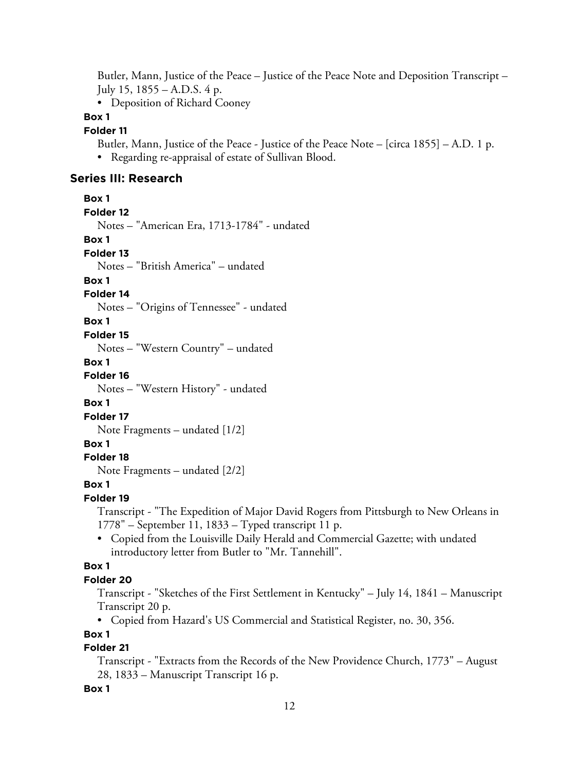Butler, Mann, Justice of the Peace – Justice of the Peace Note and Deposition Transcript – July 15, 1855 – A.D.S. 4 p.

• Deposition of Richard Cooney

## **Box 1**

#### **Folder 11**

Butler, Mann, Justice of the Peace - Justice of the Peace Note – [circa 1855] – A.D. 1 p. • Regarding re-appraisal of estate of Sullivan Blood.

# **Series III: Research**

**Box 1 Folder 12**

Notes – "American Era, 1713-1784" - undated

#### **Box 1**

**Folder 13**

Notes – "British America" – undated

#### **Box 1**

#### **Folder 14**

Notes – "Origins of Tennessee" - undated

#### **Box 1**

#### **Folder 15**

Notes – "Western Country" – undated

#### **Box 1**

**Folder 16**

Notes – "Western History" - undated

#### **Box 1**

**Folder 17**

Note Fragments – undated [1/2]

# **Box 1**

## **Folder 18**

Note Fragments – undated [2/2]

#### **Box 1**

**Folder 19**

Transcript - "The Expedition of Major David Rogers from Pittsburgh to New Orleans in 1778" – September 11, 1833 – Typed transcript 11 p.

• Copied from the Louisville Daily Herald and Commercial Gazette; with undated introductory letter from Butler to "Mr. Tannehill".

## **Box 1**

#### **Folder 20**

Transcript - "Sketches of the First Settlement in Kentucky" – July 14, 1841 – Manuscript Transcript 20 p.

• Copied from Hazard's US Commercial and Statistical Register, no. 30, 356.

# **Box 1**

# **Folder 21**

Transcript - "Extracts from the Records of the New Providence Church, 1773" – August 28, 1833 – Manuscript Transcript 16 p.

#### **Box 1**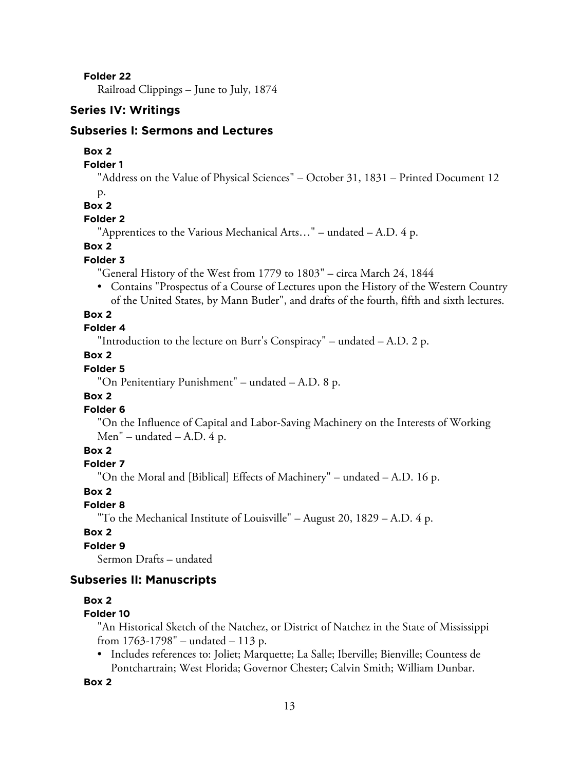**Folder 22**

Railroad Clippings – June to July, 1874

#### **Series IV: Writings**

## **Subseries I: Sermons and Lectures**

#### **Box 2**

## **Folder 1**

"Address on the Value of Physical Sciences" – October 31, 1831 – Printed Document 12

p.

# **Box 2**

# **Folder 2**

"Apprentices to the Various Mechanical Arts…" – undated – A.D. 4 p.

#### **Box 2**

#### **Folder 3**

"General History of the West from 1779 to 1803" – circa March 24, 1844

• Contains "Prospectus of a Course of Lectures upon the History of the Western Country of the United States, by Mann Butler", and drafts of the fourth, fifth and sixth lectures.

#### **Box 2**

#### **Folder 4**

"Introduction to the lecture on Burr's Conspiracy" – undated – A.D. 2 p.

#### **Box 2**

#### **Folder 5**

"On Penitentiary Punishment" – undated – A.D. 8 p.

# **Box 2**

# **Folder 6**

"On the Influence of Capital and Labor-Saving Machinery on the Interests of Working Men" – undated – A.D.  $4 p$ .

# **Box 2**

# **Folder 7**

"On the Moral and [Biblical] Effects of Machinery" – undated – A.D. 16 p.

## **Box 2**

# **Folder 8**

"To the Mechanical Institute of Louisville" – August 20, 1829 – A.D. 4 p.

#### **Box 2**

# **Folder 9**

Sermon Drafts – undated

## **Subseries II: Manuscripts**

#### **Box 2**

#### **Folder 10**

"An Historical Sketch of the Natchez, or District of Natchez in the State of Mississippi from 1763-1798" – undated – 113 p.

• Includes references to: Joliet; Marquette; La Salle; Iberville; Bienville; Countess de Pontchartrain; West Florida; Governor Chester; Calvin Smith; William Dunbar.

#### **Box 2**